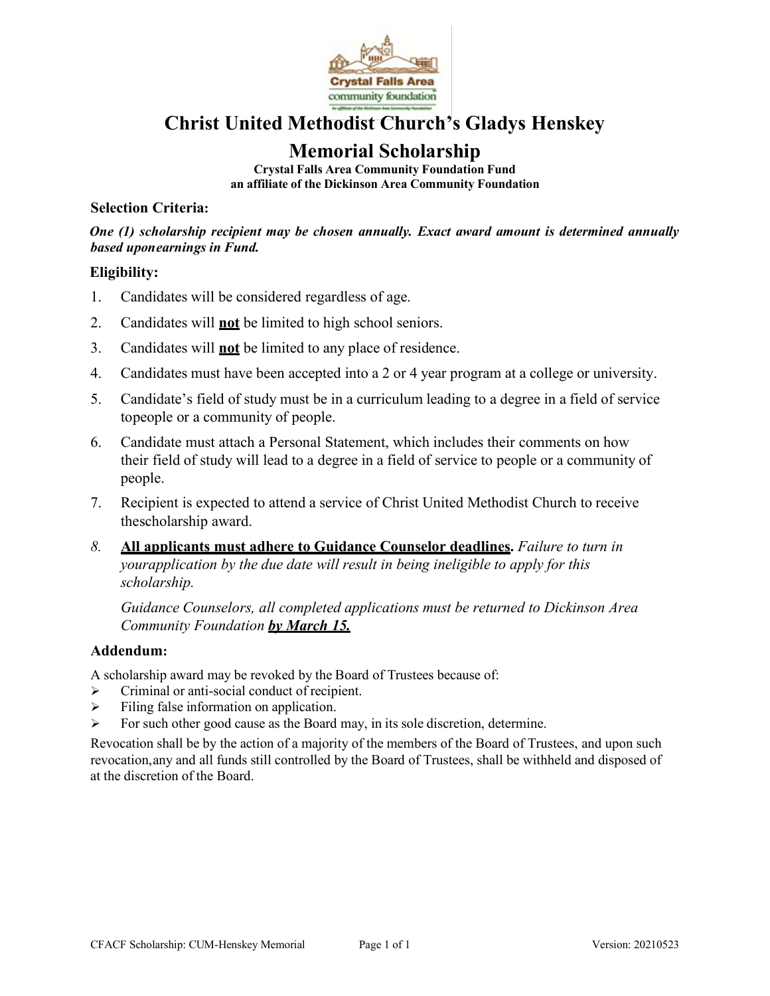

## **Christ United Methodist Church's Gladys Henskey**

## **Memorial Scholarship**

**Crystal Falls Area Community Foundation Fund an affiliate of the Dickinson Area Community Foundation**

## **Selection Criteria:**

*One (1) scholarship recipient may be chosen annually. Exact award amount is determined annually based uponearnings in Fund.*

## **Eligibility:**

- 1. Candidates will be considered regardless of age.
- 2. Candidates will **not** be limited to high school seniors.
- 3. Candidates will **not** be limited to any place of residence.
- 4. Candidates must have been accepted into a 2 or 4 year program at a college or university.
- 5. Candidate's field of study must be in a curriculum leading to a degree in a field of service topeople or a community of people.
- 6. Candidate must attach a Personal Statement, which includes their comments on how their field of study will lead to a degree in a field of service to people or a community of people.
- 7. Recipient is expected to attend a service of Christ United Methodist Church to receive thescholarship award.
- *8.* **All applicants must adhere to Guidance Counselor deadlines.** *Failure to turn in yourapplication by the due date will result in being ineligible to apply for this scholarship.*

*Guidance Counselors, all completed applications must be returned to Dickinson Area Community Foundation by March 15.*

## **Addendum:**

A scholarship award may be revoked by the Board of Trustees because of:

- Criminal or anti-social conduct of recipient.
- $\triangleright$  Filing false information on application.
- $\triangleright$  For such other good cause as the Board may, in its sole discretion, determine.

Revocation shall be by the action of a majority of the members of the Board of Trustees, and upon such revocation,any and all funds still controlled by the Board of Trustees, shall be withheld and disposed of at the discretion of the Board.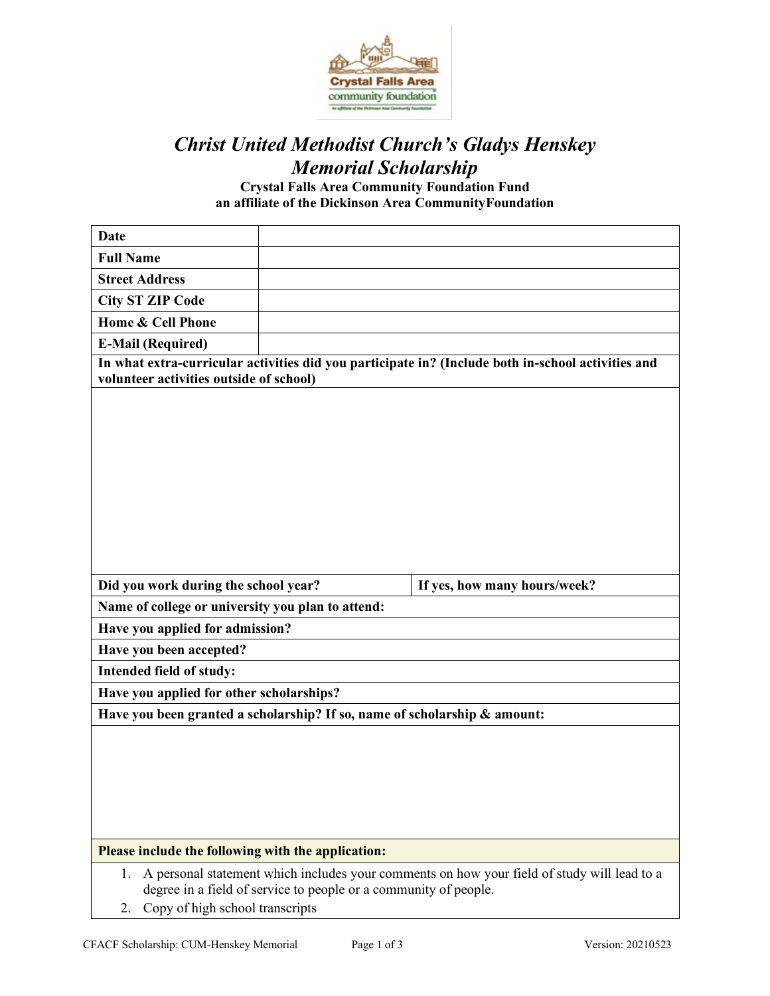

# *Christ United Methodist Church's Gladys Henskey Memorial Scholarship*

**Crystal Falls Area Community Foundation Fund an affiliate of the Dickinson Area CommunityFoundation**

| <b>Date</b>                                                               |                                                                  |                                                                                                    |
|---------------------------------------------------------------------------|------------------------------------------------------------------|----------------------------------------------------------------------------------------------------|
| <b>Full Name</b>                                                          |                                                                  |                                                                                                    |
| <b>Street Address</b>                                                     |                                                                  |                                                                                                    |
| <b>City ST ZIP Code</b>                                                   |                                                                  |                                                                                                    |
| Home & Cell Phone                                                         |                                                                  |                                                                                                    |
| <b>E-Mail (Required)</b>                                                  |                                                                  |                                                                                                    |
|                                                                           |                                                                  | In what extra-curricular activities did you participate in? (Include both in-school activities and |
| volunteer activities outside of school)                                   |                                                                  |                                                                                                    |
|                                                                           |                                                                  |                                                                                                    |
|                                                                           |                                                                  |                                                                                                    |
|                                                                           |                                                                  |                                                                                                    |
|                                                                           |                                                                  |                                                                                                    |
|                                                                           |                                                                  |                                                                                                    |
|                                                                           |                                                                  |                                                                                                    |
|                                                                           |                                                                  |                                                                                                    |
|                                                                           |                                                                  |                                                                                                    |
|                                                                           |                                                                  |                                                                                                    |
|                                                                           |                                                                  |                                                                                                    |
| Did you work during the school year?                                      |                                                                  | If yes, how many hours/week?                                                                       |
| Name of college or university you plan to attend:                         |                                                                  |                                                                                                    |
| Have you applied for admission?                                           |                                                                  |                                                                                                    |
| Have you been accepted?                                                   |                                                                  |                                                                                                    |
| Intended field of study:                                                  |                                                                  |                                                                                                    |
| Have you applied for other scholarships?                                  |                                                                  |                                                                                                    |
| Have you been granted a scholarship? If so, name of scholarship & amount: |                                                                  |                                                                                                    |
|                                                                           |                                                                  |                                                                                                    |
|                                                                           |                                                                  |                                                                                                    |
|                                                                           |                                                                  |                                                                                                    |
|                                                                           |                                                                  |                                                                                                    |
|                                                                           |                                                                  |                                                                                                    |
|                                                                           |                                                                  |                                                                                                    |
| Please include the following with the application:                        |                                                                  |                                                                                                    |
| 1.                                                                        |                                                                  | A personal statement which includes your comments on how your field of study will lead to a        |
| Copy of high school transcripts                                           | degree in a field of service to people or a community of people. |                                                                                                    |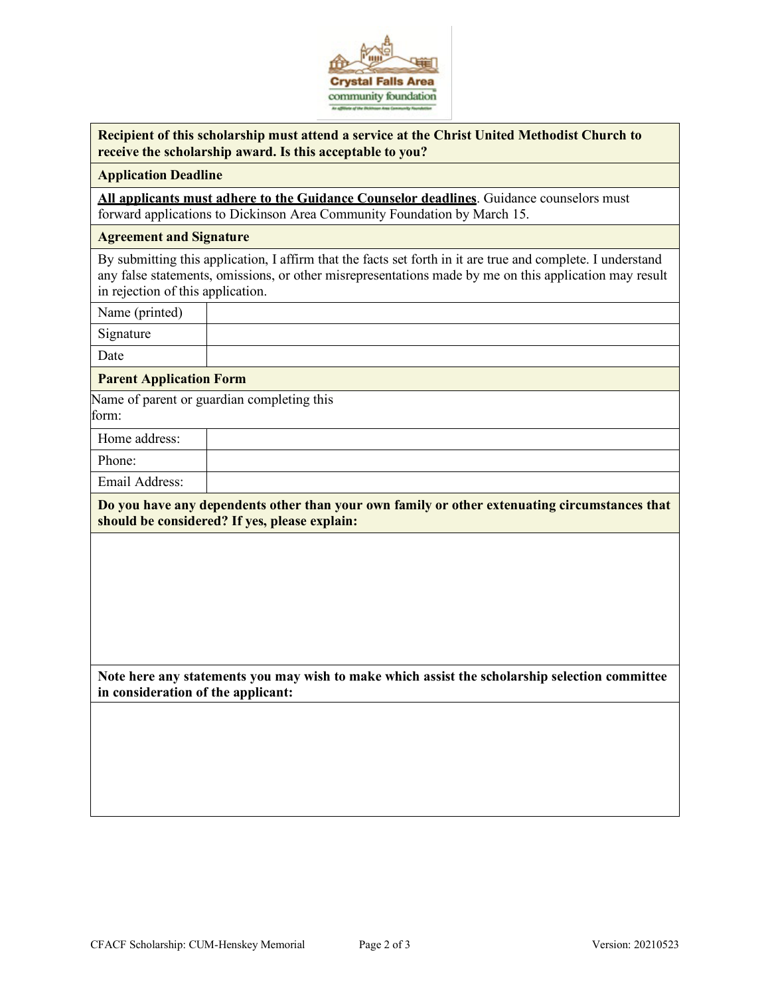

| Recipient of this scholarship must attend a service at the Christ United Methodist Church to |
|----------------------------------------------------------------------------------------------|
| receive the scholarship award. Is this acceptable to you?                                    |

#### **Application Deadline**

**All applicants must adhere to the Guidance Counselor deadlines**. Guidance counselors must forward applications to Dickinson Area Community Foundation by March 15.

#### **Agreement and Signature**

By submitting this application, I affirm that the facts set forth in it are true and complete. I understand any false statements, omissions, or other misrepresentations made by me on this application may result in rejection of this application.

Name (printed)

Signature

Date

### **Parent Application Form**

Name of parent or guardian completing this form:

Home address:

Phone:

Email Address:

**Do you have any dependents other than your own family or other extenuating circumstances that should be considered? If yes, please explain:**

**Note here any statements you may wish to make which assist the scholarship selection committee in consideration of the applicant:**